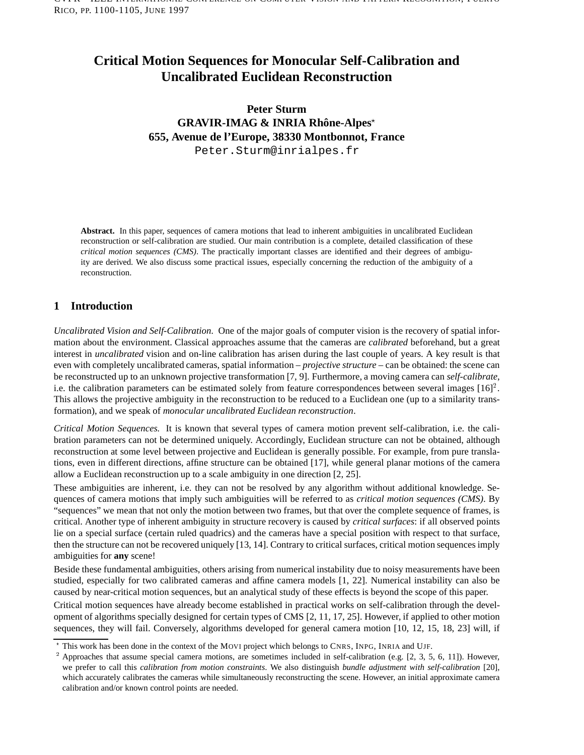# **Critical Motion Sequences for Monocular Self-Calibration and Uncalibrated Euclidean Reconstruction**

# **Peter Sturm**  $GRAVIR-IMAG & INRIA Rhône-Alpes<sup>*</sup>$ **655, Avenue de l'Europe, 38330 Montbonnot, France**

Peter.Sturm@inrialpes.fr

**Abstract.** In this paper, sequences of camera motions that lead to inherent ambiguities in uncalibrated Euclidean reconstruction or self-calibration are studied. Our main contribution is a complete, detailed classification of these *critical motion sequences (CMS)*. The practically important classes are identified and their degrees of ambiguity are derived. We also discuss some practical issues, especially concerning the reduction of the ambiguity of a reconstruction.

# **1 Introduction**

*Uncalibrated Vision and Self-Calibration.* One of the major goals of computer vision is the recovery of spatial information about the environment. Classical approaches assume that the cameras are *calibrated* beforehand, but a great interest in *uncalibrated* vision and on-line calibration has arisen during the last couple of years. A key result is that even with completely uncalibrated cameras, spatial information – *projective structure* – can be obtained: the scene can be reconstructed up to an unknown projective transformation [7, 9]. Furthermore, a moving camera can *self-calibrate*, i.e. the calibration parameters can be estimated solely from feature correspondences between several images  $[16]^2$ . This allows the projective ambiguity in the reconstruction to be reduced to a Euclidean one (up to a similarity transformation), and we speak of *monocular uncalibrated Euclidean reconstruction*.

*Critical Motion Sequences.* It is known that several types of camera motion prevent self-calibration, i.e. the calibration parameters can not be determined uniquely. Accordingly, Euclidean structure can not be obtained, although reconstruction at some level between projective and Euclidean is generally possible. For example, from pure translations, even in different directions, affine structure can be obtained [17], while general planar motions of the camera allow a Euclidean reconstruction up to a scale ambiguity in one direction [2, 25].

These ambiguities are inherent, i.e. they can not be resolved by any algorithm without additional knowledge. Sequences of camera motions that imply such ambiguities will be referred to as *critical motion sequences (CMS)*. By "sequences" we mean that not only the motion between two frames, but that over the complete sequence of frames, is critical. Another type of inherent ambiguity in structure recovery is caused by *critical surfaces*: if all observed points lie on a special surface (certain ruled quadrics) and the cameras have a special position with respect to that surface, then the structure can not be recovered uniquely [13, 14]. Contrary to critical surfaces, critical motion sequences imply ambiguities for **any** scene!

Beside these fundamental ambiguities, others arising from numerical instability due to noisy measurements have been studied, especially for two calibrated cameras and affine camera models [1, 22]. Numerical instability can also be caused by near-critical motion sequences, but an analytical study of these effects is beyond the scope of this paper.

Critical motion sequences have already become established in practical works on self-calibration through the development of algorithms specially designed for certain types of CMS [2, 11, 17, 25]. However, if applied to other motion sequences, they will fail. Conversely, algorithms developed for general camera motion [10, 12, 15, 18, 23] will, if

<sup>?</sup> This work has been done in the context of the MOVI project which belongs to CNRS, INPG, INRIA and UJF.

Approaches that assume special camera motions, are sometimes included in self-calibration (e.g. [2, 3, 5, 6, 11]). However, we prefer to call this *calibration from motion constraints*. We also distinguish *bundle adjustment with self-calibration* [20], which accurately calibrates the cameras while simultaneously reconstructing the scene. However, an initial approximate camera calibration and/or known control points are needed.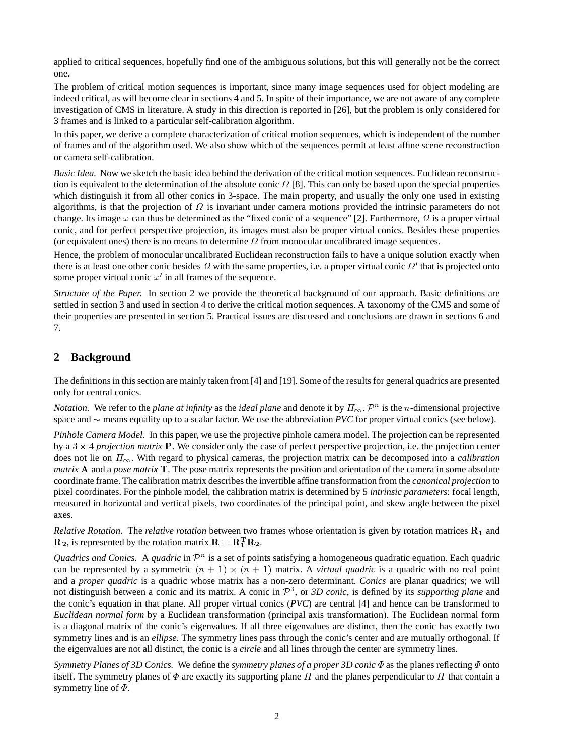applied to critical sequences, hopefully find one of the ambiguous solutions, but this will generally not be the correct one.

The problem of critical motion sequences is important, since many image sequences used for object modeling are indeed critical, as will become clear in sections 4 and 5. In spite of their importance, we are not aware of any complete investigation of CMS in literature. A study in this direction is reported in [26], but the problem is only considered for 3 frames and is linked to a particular self-calibration algorithm.

In this paper, we derive a complete characterization of critical motion sequences, which is independent of the number of frames and of the algorithm used. We also show which of the sequences permit at least affine scene reconstruction or camera self-calibration.

*Basic Idea.* Now we sketch the basic idea behind the derivation of the critical motion sequences. Euclidean reconstruction is equivalent to the determination of the absolute conic  $\Omega$  [8]. This can only be based upon the special properties which distinguish it from all other conics in 3-space. The main property, and usually the only one used in existing algorithms, is that the projection of  $\Omega$  is invariant under camera motions provided the intrinsic parameters do not change. Its image  $\omega$  can thus be determined as the "fixed conic of a sequence" [2]. Furthermore,  $\Omega$  is a proper virtual conic, and for perfect perspective projection, its images must also be proper virtual conics. Besides these properties (or equivalent ones) there is no means to determine  $\Omega$  from monocular uncalibrated image sequences.

Hence, the problem of monocular uncalibrated Euclidean reconstruction fails to have a unique solution exactly when there is at least one other conic besides  $\Omega$  with the same properties, i.e. a proper virtual conic  $\Omega'$  that is projected onto some proper virtual conic  $\omega'$  in all frames of the sequence.

*Structure of the Paper.* In section 2 we provide the theoretical background of our approach. Basic definitions are settled in section 3 and used in section 4 to derive the critical motion sequences. A taxonomy of the CMS and some of their properties are presented in section 5. Practical issues are discussed and conclusions are drawn in sections 6 and 7.

# **2 Background**

The definitions in this section are mainly taken from [4] and [19]. Some of the results for general quadrics are presented only for central conics.

*Notation.* We refer to the *plane at infinity* as the *ideal plane* and denote it by  $\Pi_{\infty}$ .  $\mathcal{P}^n$  is the *n*-dimensional projective space and  $\sim$  means equality up to a scalar factor. We use the abbreviation *PVC* for proper virtual conics (see below).

*Pinhole Camera Model.* In this paper, we use the projective pinhole camera model. The projection can be represented by a  $3 \times 4$  *projection matrix* P. We consider only the case of perfect perspective projection, i.e. the projection center does not lie on  $\Pi_{\infty}$ . With regard to physical cameras, the projection matrix can be decomposed into a *calibration matrix* <sup>A</sup> and a *pose matrix* <sup>T</sup>. The pose matrix represents the position and orientation of the camera in some absolute coordinate frame. The calibration matrix describes the invertible affine transformation from the *canonical projection* to pixel coordinates. For the pinhole model, the calibration matrix is determined by 5 *intrinsic parameters*: focal length, measured in horizontal and vertical pixels, two coordinates of the principal point, and skew angle between the pixel axes.

*Relative Rotation.* The *relative rotation* between two frames whose orientation is given by rotation matrices  $\mathbf{R}_1$  and  $\mathbf{R}_2$ , is represented by the rotation matrix  $\mathbf{R} = \mathbf{R}_1^{\mathrm{T}} \mathbf{R}_2$ .

*Quadrics and Conics.* A *quadric* in  $\mathcal{P}^n$  is a set of points satisfying a homogeneous quadratic equation. Each quadric can be represented by a symmetric  $(n + 1) \times (n + 1)$  matrix. A *virtual quadric* is a quadric with no real point and a *proper quadric* is a quadric whose matrix has a non-zero determinant. *Conics* are planar quadrics; we will not distinguish between a conic and its matrix. A conic in  $P^3$ , or 3D conic, is defined by its *supporting plane* and the conic's equation in that plane. All proper virtual conics (*PVC*) are central [4] and hence can be transformed to *Euclidean normal form* by a Euclidean transformation (principal axis transformation). The Euclidean normal form is a diagonal matrix of the conic's eigenvalues. If all three eigenvalues are distinct, then the conic has exactly two symmetry lines and is an *ellipse*. The symmetry lines pass through the conic's center and are mutually orthogonal. If the eigenvalues are not all distinct, the conic is a *circle* and all lines through the center are symmetry lines.

*Symmetry Planes of 3D Conics.* We define the *symmetry planes of a proper 3D conic*  $\Phi$  as the planes reflecting  $\Phi$  onto itself. The symmetry planes of  $\Phi$  are exactly its supporting plane  $\Pi$  and the planes perpendicular to  $\Pi$  that contain a symmetry line of  $\Phi$ .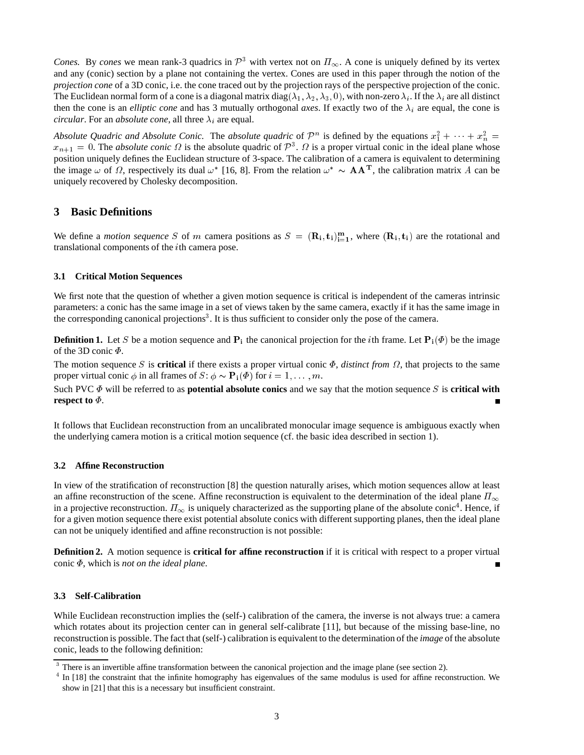*Cones.* By *cones* we mean rank-3 quadrics in  $\mathcal{P}^3$  with vertex not on  $\Pi_{\infty}$ . A cone is uniquely defined by its vertex and any (conic) section by a plane not containing the vertex. Cones are used in this paper through the notion of the *projection cone* of a 3D conic, i.e. the cone traced out by the projection rays of the perspective projection of the conic. The Euclidean normal form of a cone is a diagonal matrix diag( $\lambda_1, \lambda_2, \lambda_3, 0$ ), with non-zero  $\lambda_i$ . If the  $\lambda_i$  are all distinct then the cone is an *elliptic cone* and has 3 mutually orthogonal *axes*. If exactly two of the  $\lambda_i$  are equal, the cone is *circular*. For an *absolute cone*, all three  $\lambda_i$  are equal.

Absolute Quadric and Absolute Conic. The absolute quadric of  $\mathcal{P}^n$  is defined by the equations  $x_1^2 + \cdots + x_n^2 =$  $x_{n+1} = 0$ . The *absolute conic*  $\Omega$  is the absolute quadric of  $\mathcal{P}^3$ .  $\Omega$  is a proper virtual conic in the ideal plane whose position uniquely defines the Euclidean structure of 3-space. The calibration of a camera is equivalent to determining the image  $\omega$  of  $\Omega$ , respectively its dual  $\omega^*$  [16, 8]. From the relation  $\omega^* \sim A A^T$ , the calibration matrix A can be uniquely recovered by Cholesky decomposition.

# **3 Basic Definitions**

We define a *motion sequence* S of m camera positions as  $S = (\mathbf{R_i}, \mathbf{t_i})_{i=1}^m$ , where  $(\mathbf{R_i}, \mathbf{t_i})$  are the rotational and translational components of the <sup>i</sup>th camera pose.

#### **3.1 Critical Motion Sequences**

We first note that the question of whether a given motion sequence is critical is independent of the cameras intrinsic parameters: a conic has the same image in a set of views taken by the same camera, exactly if it has the same image in the corresponding canonical projections<sup>3</sup>. It is thus sufficient to consider only the pose of the camera.

**Definition 1.** Let S be a motion sequence and  $P_i$  the canonical projection for the *i*th frame. Let  $P_i(\Phi)$  be the image of the 3D conic  $\Phi$ .

The motion sequence S is **critical** if there exists a proper virtual conic  $\Phi$ , *distinct from*  $\Omega$ , that projects to the same proper virtual conic  $\phi$  in all frames of  $S: \phi \sim \mathbf{P_i}(\phi)$  for  $i = 1, \dots, m$ .

Such PVC  $\Phi$  will be referred to as **potential absolute conics** and we say that the motion sequence S is **critical with respect to**  $\Phi$ . Ē

It follows that Euclidean reconstruction from an uncalibrated monocular image sequence is ambiguous exactly when the underlying camera motion is a critical motion sequence (cf. the basic idea described in section 1).

## **3.2 Affine Reconstruction**

In view of the stratification of reconstruction [8] the question naturally arises, which motion sequences allow at least an affine reconstruction of the scene. Affine reconstruction is equivalent to the determination of the ideal plane  $\Pi_{\infty}$ in a projective reconstruction.  $\Pi_{\infty}$  is uniquely characterized as the supporting plane of the absolute conic<sup>4</sup>. Hence, if for a given motion sequence there exist potential absolute conics with different supporting planes, then the ideal plane can not be uniquely identified and affine reconstruction is not possible:

**Definition 2.** A motion sequence is **critical for affine reconstruction** if it is critical with respect to a proper virtual conic  $\Phi$ , which is *not on the ideal plane*. Г

#### **3.3 Self-Calibration**

While Euclidean reconstruction implies the (self-) calibration of the camera, the inverse is not always true: a camera which rotates about its projection center can in general self-calibrate [11], but because of the missing base-line, no reconstruction is possible. The fact that (self-) calibration is equivalent to the determination of the *image* of the absolute conic, leads to the following definition:

<sup>&</sup>lt;sup>3</sup> There is an invertible affine transformation between the canonical projection and the image plane (see section 2).

<sup>&</sup>lt;sup>4</sup> In [18] the constraint that the infinite homography has eigenvalues of the same modulus is used for affine reconstruction. We show in [21] that this is a necessary but insufficient constraint.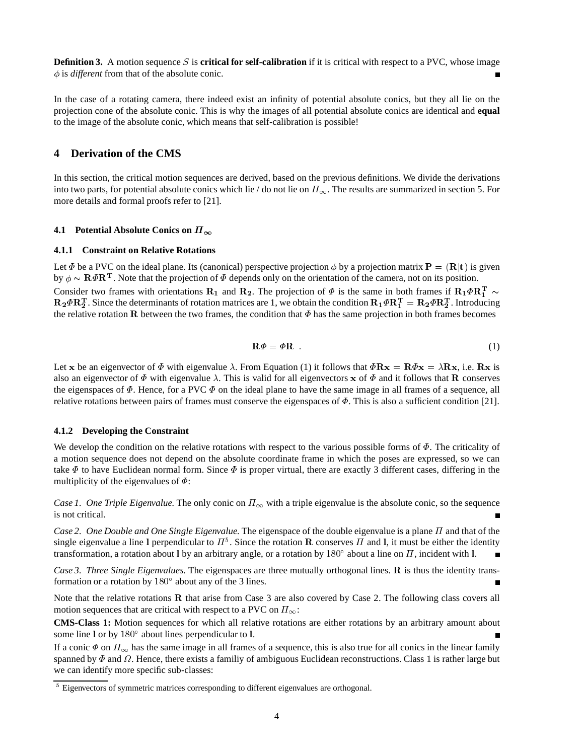**Definition 3.** A motion sequence S is **critical for self-calibration** if it is critical with respect to a PVC, whose image  $\phi$  is *different* from that of the absolute conic.

In the case of a rotating camera, there indeed exist an infinity of potential absolute conics, but they all lie on the projection cone of the absolute conic. This is why the images of all potential absolute conics are identical and **equal** to the image of the absolute conic, which means that self-calibration is possible!

## **4 Derivation of the CMS**

In this section, the critical motion sequences are derived, based on the previous definitions. We divide the derivations into two parts, for potential absolute conics which lie / do not lie on  $\Pi_{\infty}$ . The results are summarized in section 5. For more details and formal proofs refer to [21].

### **4.1 Potential Absolute Conics on**  $\Pi_{\infty}$

#### **4.1.1 Constraint on Relative Rotations**

Let  $\Phi$  be a PVC on the ideal plane. Its (canonical) perspective projection  $\phi$  by a projection matrix  $P = (R|t)$  is given by  $\phi \sim \mathbf{R}\Phi\mathbf{R}^T$ . Note that the projection of  $\Phi$  depends only on the orientation of the camera, not on its position. Consider two frames with orientations  $\mathbf{R}_1$  and  $\mathbf{R}_2$ . The projection of  $\Phi$  is the same in both frames if  $\mathbf{R}_1 \Phi \mathbf{R}_1^T \sim$  $R_2 \Phi R_2^T$ . Since the determinants of rotation matrices are 1, we obtain the condition  $R_1 \Phi R_1^T = R_2 \Phi R_2^T$ . Introducing the relative rotation R between the two frames, the condition that  $\Phi$  has the same projection in both frames becomes

$$
\mathbf{R}\varPhi = \varPhi \mathbf{R} \tag{1}
$$

Let x be an eigenvector of  $\Phi$  with eigenvalue  $\lambda$ . From Equation (1) it follows that  $\Phi \mathbf{R} \mathbf{x} = \mathbf{R} \Phi \mathbf{x} = \lambda \mathbf{R} \mathbf{x}$ , i.e.  $\mathbf{R} \mathbf{x}$  is also an eigenvector of  $\Phi$  with eigenvalue  $\lambda$ . This is valid for all eigenvectors x of  $\Phi$  and it follows that **R** conserves the eigenspaces of  $\Phi$ . Hence, for a PVC  $\Phi$  on the ideal plane to have the same image in all frames of a sequence, all relative rotations between pairs of frames must conserve the eigenspaces of  $\Phi$ . This is also a sufficient condition [21].

#### **4.1.2 Developing the Constraint**

We develop the condition on the relative rotations with respect to the various possible forms of  $\Phi$ . The criticality of a motion sequence does not depend on the absolute coordinate frame in which the poses are expressed, so we can take  $\Phi$  to have Euclidean normal form. Since  $\Phi$  is proper virtual, there are exactly 3 different cases, differing in the multiplicity of the eigenvalues of  $\Phi$ :

*Case 1. One Triple Eigenvalue.* The only conic on  $\Pi_{\infty}$  with a triple eigenvalue is the absolute conic, so the sequence is not critical.

*Case 2. One Double and One Single Eigenvalue.* The eigenspace of the double eigenvalue is a plane *II* and that of the single eigenvalue a line 1 perpendicular to  $\pi^5$ . Since the rotation R conserves  $\pi$  and 1, it must be either the identity transformation, a rotation about l by an arbitrary angle, or a rotation by 180 $^{\circ}$  about a line on  $\Pi$ , incident with l.

*Case 3. Three Single Eigenvalues.* The eigenspaces are three mutually orthogonal lines. <sup>R</sup> is thus the identity transformation or a rotation by  $180^\circ$  about any of the 3 lines.

Note that the relative rotations <sup>R</sup> that arise from Case 3 are also covered by Case 2. The following class covers all motion sequences that are critical with respect to a PVC on  $\Pi_{\infty}$ :

**CMS-Class 1:** Motion sequences for which all relative rotations are either rotations by an arbitrary amount about some line 1 or by  $180^{\circ}$  about lines perpendicular to 1.

If a conic  $\Phi$  on  $\Pi_{\infty}$  has the same image in all frames of a sequence, this is also true for all conics in the linear family spanned by  $\Phi$  and  $\Omega$ . Hence, there exists a familiy of ambiguous Euclidean reconstructions. Class 1 is rather large but we can identify more specific sub-classes:

<sup>&</sup>lt;sup>5</sup> Eigenvectors of symmetric matrices corresponding to different eigenvalues are orthogonal.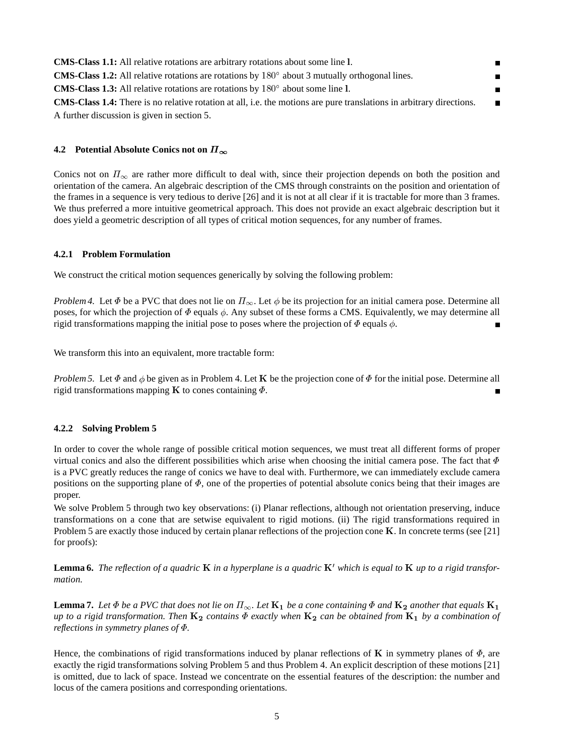| <b>CMS-Class 1.1:</b> All relative rotations are arbitrary rotations about some line 1.                                     | п              |
|-----------------------------------------------------------------------------------------------------------------------------|----------------|
| <b>CMS-Class 1.2:</b> All relative rotations are rotations by $180^\circ$ about 3 mutually orthogonal lines.                | п              |
| <b>CMS-Class 1.3:</b> All relative rotations are rotations by $180^\circ$ about some line 1.                                | п              |
| <b>CMS-Class 1.4:</b> There is no relative rotation at all, i.e. the motions are pure translations in arbitrary directions. | $\blacksquare$ |
| A further discussion is given in section 5.                                                                                 |                |

## **4.2 Potential Absolute Conics not on**  $\Pi_{\infty}$

Conics not on  $\Pi_{\infty}$  are rather more difficult to deal with, since their projection depends on both the position and orientation of the camera. An algebraic description of the CMS through constraints on the position and orientation of the frames in a sequence is very tedious to derive [26] and it is not at all clear if it is tractable for more than 3 frames. We thus preferred a more intuitive geometrical approach. This does not provide an exact algebraic description but it does yield a geometric description of all types of critical motion sequences, for any number of frames.

## **4.2.1 Problem Formulation**

We construct the critical motion sequences generically by solving the following problem:

*Problem 4.* Let  $\Phi$  be a PVC that does not lie on  $\Pi_{\infty}$ . Let  $\phi$  be its projection for an initial camera pose. Determine all poses, for which the projection of  $\Phi$  equals  $\phi$ . Any subset of these forms a CMS. Equivalently, we may determine all rigid transformations mapping the initial pose to poses where the projection of  $\Phi$  equals  $\phi$ .

We transform this into an equivalent, more tractable form:

*Problem 5.* Let  $\Phi$  and  $\phi$  be given as in Problem 4. Let K be the projection cone of  $\Phi$  for the initial pose. Determine all rigid transformations mapping K to cones containing  $\Phi$ .

## **4.2.2 Solving Problem 5**

In order to cover the whole range of possible critical motion sequences, we must treat all different forms of proper virtual conics and also the different possibilities which arise when choosing the initial camera pose. The fact that  $\Phi$ is a PVC greatly reduces the range of conics we have to deal with. Furthermore, we can immediately exclude camera positions on the supporting plane of  $\Phi$ , one of the properties of potential absolute conics being that their images are proper.

We solve Problem 5 through two key observations: (i) Planar reflections, although not orientation preserving, induce transformations on a cone that are setwise equivalent to rigid motions. (ii) The rigid transformations required in Problem 5 are exactly those induced by certain planar reflections of the projection cone <sup>K</sup>. In concrete terms (see [21] for proofs):

**Lemma 6.** The reflection of a quadric **K** in a hyperplane is a quadric **K**' which is equal to **K** up to a rigid transfor*mation.*

**Lemma 7.** Let  $\Phi$  be a PVC that does not lie on  $\Pi_{\infty}$ . Let  $\mathbf{K}_1$  be a cone containing  $\Phi$  and  $\mathbf{K}_2$  another that equals  $\mathbf{K}_1$ *up to a rigid transformation. Then*  $K_2$  *contains*  $\Phi$  *exactly when*  $K_2$  *can be obtained from*  $K_1$  *by a combination of reflections in symmetry planes of .*

Hence, the combinations of rigid transformations induced by planar reflections of K in symmetry planes of  $\Phi$ , are exactly the rigid transformations solving Problem 5 and thus Problem 4. An explicit description of these motions [21] is omitted, due to lack of space. Instead we concentrate on the essential features of the description: the number and locus of the camera positions and corresponding orientations.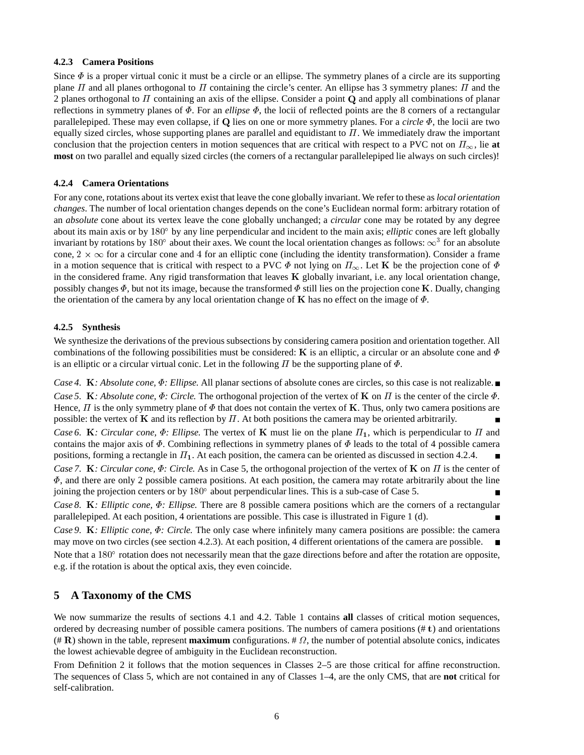## **4.2.3 Camera Positions**

Since  $\Phi$  is a proper virtual conic it must be a circle or an ellipse. The symmetry planes of a circle are its supporting plane  $\Pi$  and all planes orthogonal to  $\Pi$  containing the circle's center. An ellipse has 3 symmetry planes:  $\Pi$  and the 2 planes orthogonal to  $\Pi$  containing an axis of the ellipse. Consider a point  $\bf{Q}$  and apply all combinations of planar reflections in symmetry planes of  $\Phi$ . For an *ellipse*  $\Phi$ , the locii of reflected points are the 8 corners of a rectangular parallelepiped. These may even collapse, if Q lies on one or more symmetry planes. For a *circle*  $\Phi$ , the locii are two equally sized circles, whose supporting planes are parallel and equidistant to  $\Pi$ . We immediately draw the important conclusion that the projection centers in motion sequences that are critical with respect to a PVC not on  $\Pi_{\infty}$ , lie at **most** on two parallel and equally sized circles (the corners of a rectangular parallelepiped lie always on such circles)!

#### **4.2.4 Camera Orientations**

For any cone, rotations about its vertex exist that leave the cone globally invariant. We refer to these as *local orientation changes*. The number of local orientation changes depends on the cone's Euclidean normal form: arbitrary rotation of an *absolute* cone about its vertex leave the cone globally unchanged; a *circular* cone may be rotated by any degree about its main axis or by 180° by any line perpendicular and incident to the main axis; *elliptic* cones are left globally invariant by rotations by 180° about their axes. We count the local orientation changes as follows:  $\infty^3$  for an absolute cone,  $2 \times \infty$  for a circular cone and 4 for an elliptic cone (including the identity transformation). Consider a frame in a motion sequence that is critical with respect to a PVC  $\Phi$  not lying on  $\Pi_{\infty}$ . Let **K** be the projection cone of  $\Phi$ in the considered frame. Any rigid transformation that leaves  $K$  globally invariant, i.e. any local orientation change, possibly changes  $\Phi$ , but not its image, because the transformed  $\Phi$  still lies on the projection cone K. Dually, changing the orientation of the camera by any local orientation change of K has no effect on the image of  $\Phi$ .

#### **4.2.5 Synthesis**

We synthesize the derivations of the previous subsections by considering camera position and orientation together. All combinations of the following possibilities must be considered: K is an elliptic, a circular or an absolute cone and  $\Phi$ is an elliptic or a circular virtual conic. Let in the following  $\Pi$  be the supporting plane of  $\Phi$ .

*Case 4.* K*: Absolute cone,*  $\Phi$ *: Ellipse.* All planar sections of absolute cones are circles, so this case is not realizable.■ *Case 5.* K: *Absolute cone,*  $\Phi$ *: Circle.* The orthogonal projection of the vertex of K on  $\Pi$  is the center of the circle  $\Phi$ . Hence,  $\Pi$  is the only symmetry plane of  $\Phi$  that does not contain the vertex of **K**. Thus, only two camera positions are possible: the vertex of K and its reflection by  $\Pi$ . At both positions the camera may be oriented arbitrarily. *Case 6.* K: Circular cone,  $\Phi$ : Ellipse. The vertex of K must lie on the plane  $\Pi_1$ , which is perpendicular to  $\Pi$  and contains the major axis of  $\Phi$ . Combining reflections in symmetry planes of  $\Phi$  leads to the total of 4 possible camera positions, forming a rectangle in  $\Pi_1$ . At each position, the camera can be oriented as discussed in section 4.2.4. *Case 7.* K: *Circular cone,*  $\Phi$ *: Circle.* As in Case 5, the orthogonal projection of the vertex of K on  $\Pi$  is the center of  $\Phi$ , and there are only 2 possible camera positions. At each position, the camera may rotate arbitrarily about the line joining the projection centers or by  $180^{\circ}$  about perpendicular lines. This is a sub-case of Case 5. *Case 8.* <sup>K</sup>*: Elliptic cone, : Ellipse.* There are 8 possible camera positions which are the corners of a rectangular parallelepiped. At each position, 4 orientations are possible. This case is illustrated in Figure 1 (d).

*Case 9.* <sup>K</sup>*: Elliptic cone, : Circle.* The only case where infinitely many camera positions are possible: the camera may move on two circles (see section 4.2.3). At each position, 4 different orientations of the camera are possible. Note that a  $180^\circ$  rotation does not necessarily mean that the gaze directions before and after the rotation are opposite, e.g. if the rotation is about the optical axis, they even coincide.

## **5 A Taxonomy of the CMS**

We now summarize the results of sections 4.1 and 4.2. Table 1 contains **all** classes of critical motion sequences, ordered by decreasing number of possible camera positions. The numbers of camera positions (# <sup>t</sup>) and orientations  $(\# \mathbf{R})$  shown in the table, represent **maximum** configurations. #  $\Omega$ , the number of potential absolute conics, indicates the lowest achievable degree of ambiguity in the Euclidean reconstruction.

From Definition 2 it follows that the motion sequences in Classes 2–5 are those critical for affine reconstruction. The sequences of Class 5, which are not contained in any of Classes 1–4, are the only CMS, that are **not** critical for self-calibration.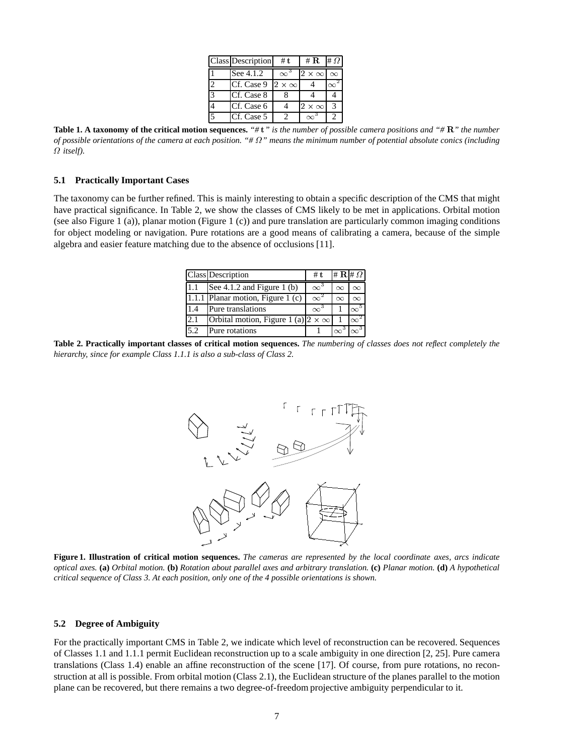|                          | <b>Class Description</b> | #t                | # $\bf{R}$                 | $# \Omega$   |
|--------------------------|--------------------------|-------------------|----------------------------|--------------|
|                          | See 4.1.2                |                   | $2 \times \infty$ $\infty$ |              |
|                          | Cf. Case 9               | $2 \times \infty$ |                            |              |
| 3                        | Cf. Case 8               |                   |                            |              |
|                          | Cf. Case 6               |                   | $2 \times \infty$          | $\mathbf{z}$ |
| $\overline{\phantom{0}}$ | Cf. Case 5               |                   |                            |              |

**Table 1. A taxonomy of the critical motion sequences.** *"#* <sup>t</sup>*" is the number of possible camera positions and "#* <sup>R</sup>*" the number of possible orientations of the camera at each position. "# " means the minimum number of potential absolute conics (including itself).*

#### **5.1 Practically Important Cases**

The taxonomy can be further refined. This is mainly interesting to obtain a specific description of the CMS that might have practical significance. In Table 2, we show the classes of CMS likely to be met in applications. Orbital motion (see also Figure 1 (a)), planar motion (Figure 1 (c)) and pure translation are particularly common imaging conditions for object modeling or navigation. Pure rotations are a good means of calibrating a camera, because of the simple algebra and easier feature matching due to the absence of occlusions [11].

|     | Class Description                              | # $t$            | $\# \mathbf{R}$ $\# \Omega$ |          |
|-----|------------------------------------------------|------------------|-----------------------------|----------|
| 1.1 | See $4.1.2$ and Figure 1 (b)                   | $\infty^3$       | $\infty$                    |          |
|     | $\overline{1.1.1}$ Planar motion, Figure 1 (c) | $\infty^{\ast}$  | $\infty$                    |          |
| 1.4 | Pure translations                              | $\infty^{\circ}$ |                             | $\infty$ |
| 2.1 | Orbital motion, Figure 1 (a) $2 \times \infty$ |                  |                             | $\infty$ |
| 5.2 | Pure rotations                                 |                  | $\infty$                    |          |

**Table 2. Practically important classes of critical motion sequences.** *The numbering of classes does not reflect completely the hierarchy, since for example Class 1.1.1 is also a sub-class of Class 2.*



**Figure 1. Illustration of critical motion sequences.** *The cameras are represented by the local coordinate axes, arcs indicate optical axes.* **(a)** *Orbital motion.* **(b)** *Rotation about parallel axes and arbitrary translation.* **(c)** *Planar motion.* **(d)** *A hypothetical critical sequence of Class 3. At each position, only one of the 4 possible orientations is shown.*

#### **5.2 Degree of Ambiguity**

For the practically important CMS in Table 2, we indicate which level of reconstruction can be recovered. Sequences of Classes 1.1 and 1.1.1 permit Euclidean reconstruction up to a scale ambiguity in one direction [2, 25]. Pure camera translations (Class 1.4) enable an affine reconstruction of the scene [17]. Of course, from pure rotations, no reconstruction at all is possible. From orbital motion (Class 2.1), the Euclidean structure of the planes parallel to the motion plane can be recovered, but there remains a two degree-of-freedom projective ambiguity perpendicular to it.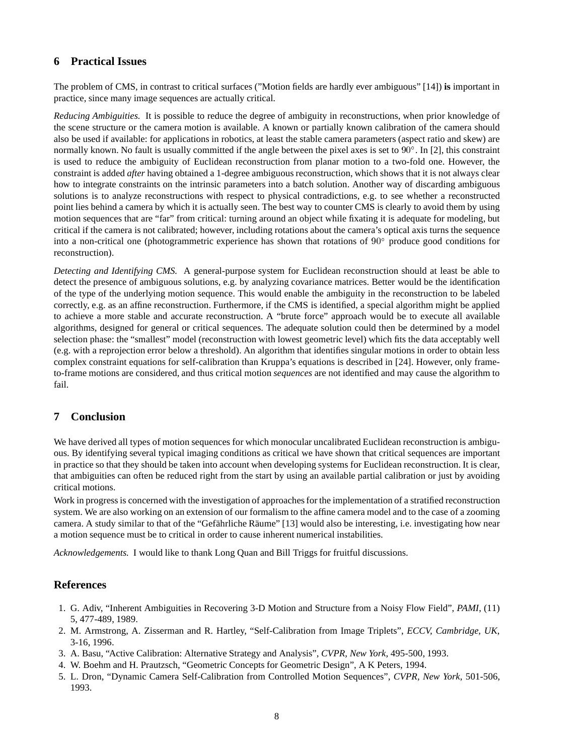# **6 Practical Issues**

The problem of CMS, in contrast to critical surfaces ("Motion fields are hardly ever ambiguous" [14]) **is** important in practice, since many image sequences are actually critical.

*Reducing Ambiguities.* It is possible to reduce the degree of ambiguity in reconstructions, when prior knowledge of the scene structure or the camera motion is available. A known or partially known calibration of the camera should also be used if available: for applications in robotics, at least the stable camera parameters (aspect ratio and skew) are normally known. No fault is usually committed if the angle between the pixel axes is set to 90°. In [2], this constraint is used to reduce the ambiguity of Euclidean reconstruction from planar motion to a two-fold one. However, the constraint is added *after* having obtained a 1-degree ambiguous reconstruction, which shows that it is not always clear how to integrate constraints on the intrinsic parameters into a batch solution. Another way of discarding ambiguous solutions is to analyze reconstructions with respect to physical contradictions, e.g. to see whether a reconstructed point lies behind a camera by which it is actually seen. The best way to counter CMS is clearly to avoid them by using motion sequences that are "far" from critical: turning around an object while fixating it is adequate for modeling, but critical if the camera is not calibrated; however, including rotations about the camera's optical axis turns the sequence into a non-critical one (photogrammetric experience has shown that rotations of <sup>90</sup> produce good conditions for reconstruction).

*Detecting and Identifying CMS.* A general-purpose system for Euclidean reconstruction should at least be able to detect the presence of ambiguous solutions, e.g. by analyzing covariance matrices. Better would be the identification of the type of the underlying motion sequence. This would enable the ambiguity in the reconstruction to be labeled correctly, e.g. as an affine reconstruction. Furthermore, if the CMS is identified, a special algorithm might be applied to achieve a more stable and accurate reconstruction. A "brute force" approach would be to execute all available algorithms, designed for general or critical sequences. The adequate solution could then be determined by a model selection phase: the "smallest" model (reconstruction with lowest geometric level) which fits the data acceptably well (e.g. with a reprojection error below a threshold). An algorithm that identifies singular motions in order to obtain less complex constraint equations for self-calibration than Kruppa's equations is described in [24]. However, only frameto-frame motions are considered, and thus critical motion *sequences* are not identified and may cause the algorithm to fail.

# **7 Conclusion**

We have derived all types of motion sequences for which monocular uncalibrated Euclidean reconstruction is ambiguous. By identifying several typical imaging conditions as critical we have shown that critical sequences are important in practice so that they should be taken into account when developing systems for Euclidean reconstruction. It is clear, that ambiguities can often be reduced right from the start by using an available partial calibration or just by avoiding critical motions.

Work in progress is concerned with the investigation of approaches for the implementation of a stratified reconstruction system. We are also working on an extension of our formalism to the affine camera model and to the case of a zooming camera. A study similar to that of the "Gefährliche Räume" [13] would also be interesting, i.e. investigating how near a motion sequence must be to critical in order to cause inherent numerical instabilities.

*Acknowledgements.* I would like to thank Long Quan and Bill Triggs for fruitful discussions.

# **References**

- 1. G. Adiv, "Inherent Ambiguities in Recovering 3-D Motion and Structure from a Noisy Flow Field", *PAMI*, (11) 5, 477-489, 1989.
- 2. M. Armstrong, A. Zisserman and R. Hartley, "Self-Calibration from Image Triplets", *ECCV, Cambridge, UK*, 3-16, 1996.
- 3. A. Basu, "Active Calibration: Alternative Strategy and Analysis", *CVPR, New York*, 495-500, 1993.
- 4. W. Boehm and H. Prautzsch, "Geometric Concepts for Geometric Design", A K Peters, 1994.
- 5. L. Dron, "Dynamic Camera Self-Calibration from Controlled Motion Sequences", *CVPR, New York*, 501-506, 1993.